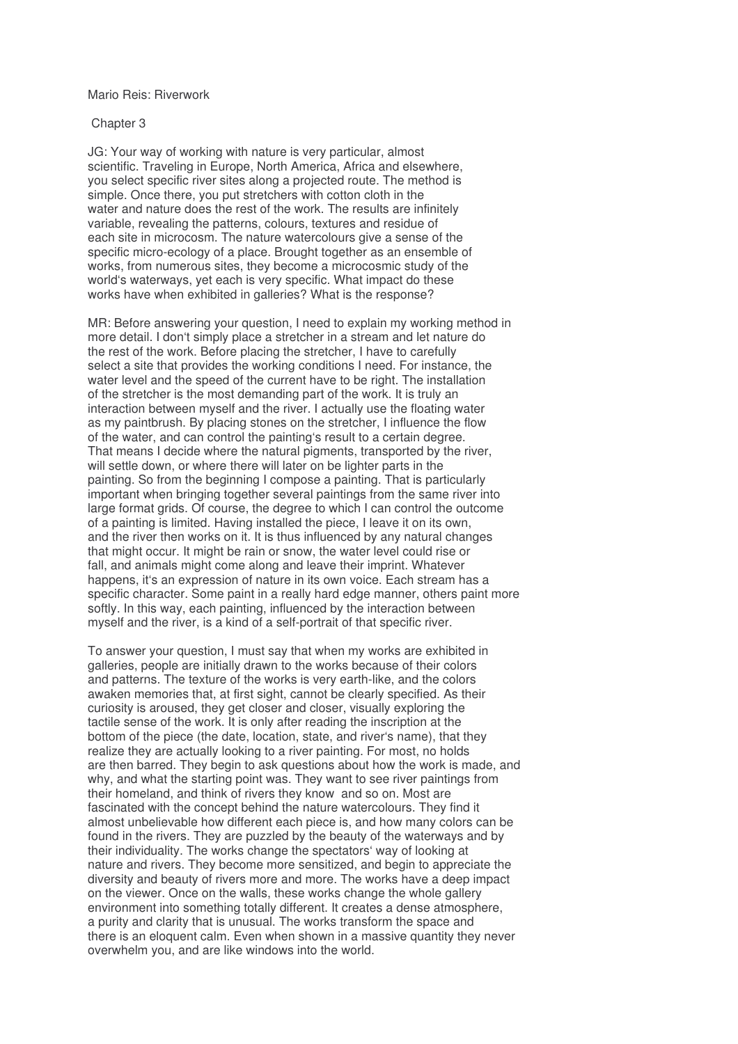Mario Reis: Riverwork

## Chapter 3

JG: Your way of working with nature is very particular, almost scientific. Traveling in Europe, North America, Africa and elsewhere, you select specific river sites along a projected route. The method is simple. Once there, you put stretchers with cotton cloth in the water and nature does the rest of the work. The results are infinitely variable, revealing the patterns, colours, textures and residue of each site in microcosm. The nature watercolours give a sense of the specific micro-ecology of a place. Brought together as an ensemble of works, from numerous sites, they become a microcosmic study of the world's waterways, yet each is very specific. What impact do these works have when exhibited in galleries? What is the response?

MR: Before answering your question, I need to explain my working method in more detail. I don't simply place a stretcher in a stream and let nature do the rest of the work. Before placing the stretcher, I have to carefully select a site that provides the working conditions I need. For instance, the water level and the speed of the current have to be right. The installation of the stretcher is the most demanding part of the work. It is truly an interaction between myself and the river. I actually use the floating water as my paintbrush. By placing stones on the stretcher, I influence the flow of the water, and can control the painting's result to a certain degree. That means I decide where the natural pigments, transported by the river, will settle down, or where there will later on be lighter parts in the painting. So from the beginning I compose a painting. That is particularly important when bringing together several paintings from the same river into large format grids. Of course, the degree to which I can control the outcome of a painting is limited. Having installed the piece, I leave it on its own, and the river then works on it. It is thus influenced by any natural changes that might occur. It might be rain or snow, the water level could rise or fall, and animals might come along and leave their imprint. Whatever happens, it's an expression of nature in its own voice. Each stream has a specific character. Some paint in a really hard edge manner, others paint more softly. In this way, each painting, influenced by the interaction between myself and the river, is a kind of a self-portrait of that specific river.

To answer your question, I must say that when my works are exhibited in galleries, people are initially drawn to the works because of their colors and patterns. The texture of the works is very earth-like, and the colors awaken memories that, at first sight, cannot be clearly specified. As their curiosity is aroused, they get closer and closer, visually exploring the tactile sense of the work. It is only after reading the inscription at the bottom of the piece (the date, location, state, and river's name), that they realize they are actually looking to a river painting. For most, no holds are then barred. They begin to ask questions about how the work is made, and why, and what the starting point was. They want to see river paintings from their homeland, and think of rivers they know and so on. Most are fascinated with the concept behind the nature watercolours. They find it almost unbelievable how different each piece is, and how many colors can be found in the rivers. They are puzzled by the beauty of the waterways and by their individuality. The works change the spectators' way of looking at nature and rivers. They become more sensitized, and begin to appreciate the diversity and beauty of rivers more and more. The works have a deep impact on the viewer. Once on the walls, these works change the whole gallery environment into something totally different. It creates a dense atmosphere, a purity and clarity that is unusual. The works transform the space and there is an eloquent calm. Even when shown in a massive quantity they never overwhelm you, and are like windows into the world.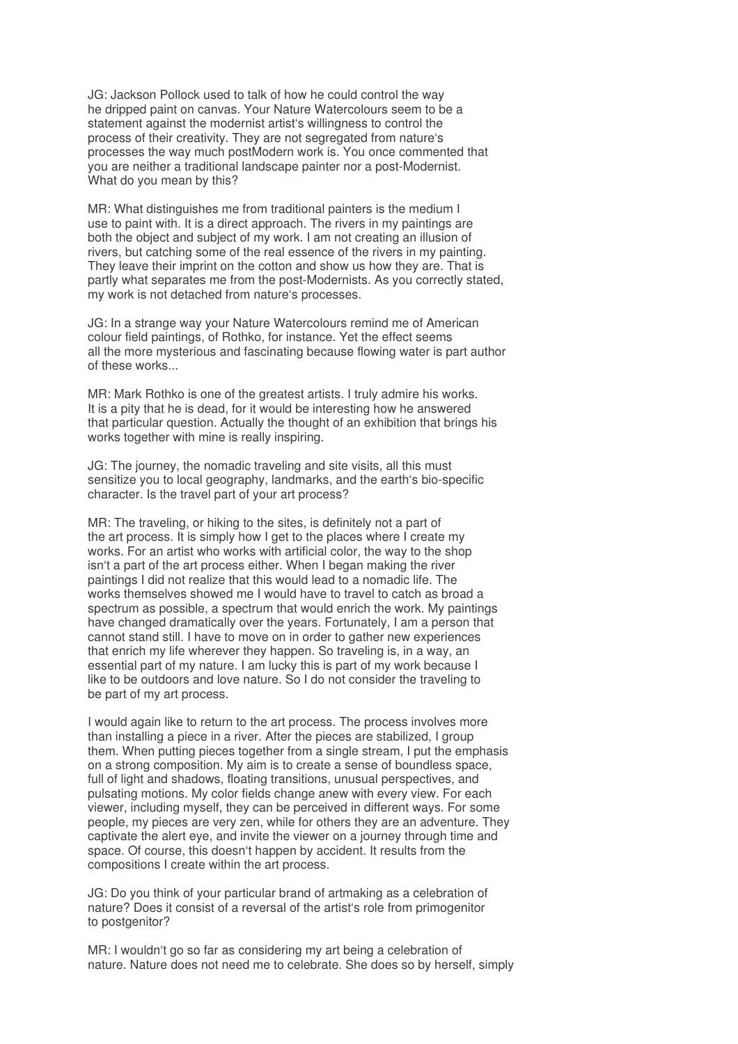JG: Jackson Pollock used to talk of how he could control the way he dripped paint on canvas. Your Nature Watercolours seem to be a statement against the modernist artist's willingness to control the process of their creativity. They are not segregated from nature's processes the way much postModern work is. You once commented that you are neither a traditional landscape painter nor a post-Modernist. What do you mean by this?

MR: What distinguishes me from traditional painters is the medium I use to paint with. It is a direct approach. The rivers in my paintings are both the object and subject of my work. I am not creating an illusion of rivers, but catching some of the real essence of the rivers in my painting. They leave their imprint on the cotton and show us how they are. That is partly what separates me from the post-Modernists. As you correctly stated, my work is not detached from nature's processes.

JG: In a strange way your Nature Watercolours remind me of American colour field paintings, of Rothko, for instance. Yet the effect seems all the more mysterious and fascinating because flowing water is part author of these works...

MR: Mark Rothko is one of the greatest artists. I truly admire his works. It is a pity that he is dead, for it would be interesting how he answered that particular question. Actually the thought of an exhibition that brings his works together with mine is really inspiring.

JG: The journey, the nomadic traveling and site visits, all this must sensitize you to local geography, landmarks, and the earth's bio-specific character. Is the travel part of your art process?

MR: The traveling, or hiking to the sites, is definitely not a part of the art process. It is simply how I get to the places where I create my works. For an artist who works with artificial color, the way to the shop isn't a part of the art process either. When I began making the river paintings I did not realize that this would lead to a nomadic life. The works themselves showed me I would have to travel to catch as broad a spectrum as possible, a spectrum that would enrich the work. My paintings have changed dramatically over the years. Fortunately, I am a person that cannot stand still. I have to move on in order to gather new experiences that enrich my life wherever they happen. So traveling is, in a way, an essential part of my nature. I am lucky this is part of my work because I like to be outdoors and love nature. So I do not consider the traveling to be part of my art process.

I would again like to return to the art process. The process involves more than installing a piece in a river. After the pieces are stabilized, I group them. When putting pieces together from a single stream, I put the emphasis on a strong composition. My aim is to create a sense of boundless space, full of light and shadows, floating transitions, unusual perspectives, and pulsating motions. My color fields change anew with every view. For each viewer, including myself, they can be perceived in different ways. For some people, my pieces are very zen, while for others they are an adventure. They captivate the alert eye, and invite the viewer on a journey through time and space. Of course, this doesn't happen by accident. It results from the compositions I create within the art process.

JG: Do you think of your particular brand of artmaking as a celebration of nature? Does it consist of a reversal of the artist's role from primogenitor to postgenitor?

MR: I wouldn't go so far as considering my art being a celebration of nature. Nature does not need me to celebrate. She does so by herself, simply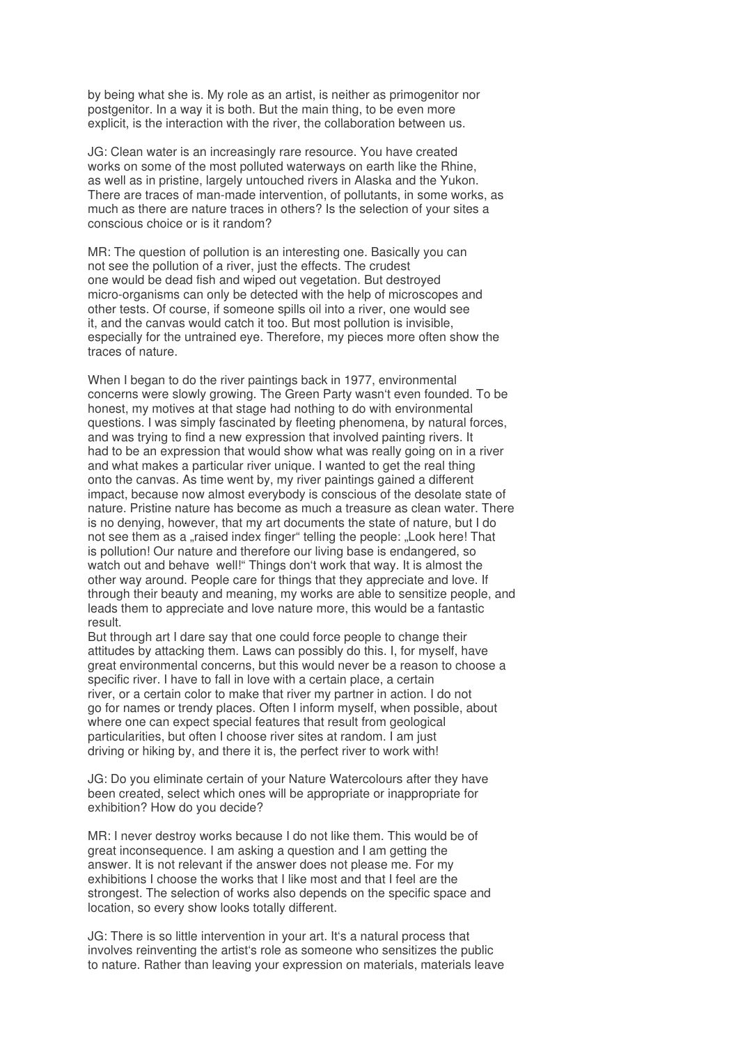by being what she is. My role as an artist, is neither as primogenitor nor postgenitor. In a way it is both. But the main thing, to be even more explicit, is the interaction with the river, the collaboration between us.

JG: Clean water is an increasingly rare resource. You have created works on some of the most polluted waterways on earth like the Rhine, as well as in pristine, largely untouched rivers in Alaska and the Yukon. There are traces of man-made intervention, of pollutants, in some works, as much as there are nature traces in others? Is the selection of your sites a conscious choice or is it random?

MR: The question of pollution is an interesting one. Basically you can not see the pollution of a river, just the effects. The crudest one would be dead fish and wiped out vegetation. But destroyed micro-organisms can only be detected with the help of microscopes and other tests. Of course, if someone spills oil into a river, one would see it, and the canvas would catch it too. But most pollution is invisible, especially for the untrained eye. Therefore, my pieces more often show the traces of nature.

When I began to do the river paintings back in 1977, environmental concerns were slowly growing. The Green Party wasn't even founded. To be honest, my motives at that stage had nothing to do with environmental questions. I was simply fascinated by fleeting phenomena, by natural forces, and was trying to find a new expression that involved painting rivers. It had to be an expression that would show what was really going on in a river and what makes a particular river unique. I wanted to get the real thing onto the canvas. As time went by, my river paintings gained a different impact, because now almost everybody is conscious of the desolate state of nature. Pristine nature has become as much a treasure as clean water. There is no denying, however, that my art documents the state of nature, but I do not see them as a "raised index finger" telling the people: "Look here! That is pollution! Our nature and therefore our living base is endangered, so watch out and behave well!" Things don't work that way. It is almost the other way around. People care for things that they appreciate and love. If through their beauty and meaning, my works are able to sensitize people, and leads them to appreciate and love nature more, this would be a fantastic result.

But through art I dare say that one could force people to change their attitudes by attacking them. Laws can possibly do this. I, for myself, have great environmental concerns, but this would never be a reason to choose a specific river. I have to fall in love with a certain place, a certain river, or a certain color to make that river my partner in action. I do not go for names or trendy places. Often I inform myself, when possible, about where one can expect special features that result from geological particularities, but often I choose river sites at random. I am just driving or hiking by, and there it is, the perfect river to work with!

JG: Do you eliminate certain of your Nature Watercolours after they have been created, select which ones will be appropriate or inappropriate for exhibition? How do you decide?

MR: I never destroy works because I do not like them. This would be of great inconsequence. I am asking a question and I am getting the answer. It is not relevant if the answer does not please me. For my exhibitions I choose the works that I like most and that I feel are the strongest. The selection of works also depends on the specific space and location, so every show looks totally different.

JG: There is so little intervention in your art. It's a natural process that involves reinventing the artist's role as someone who sensitizes the public to nature. Rather than leaving your expression on materials, materials leave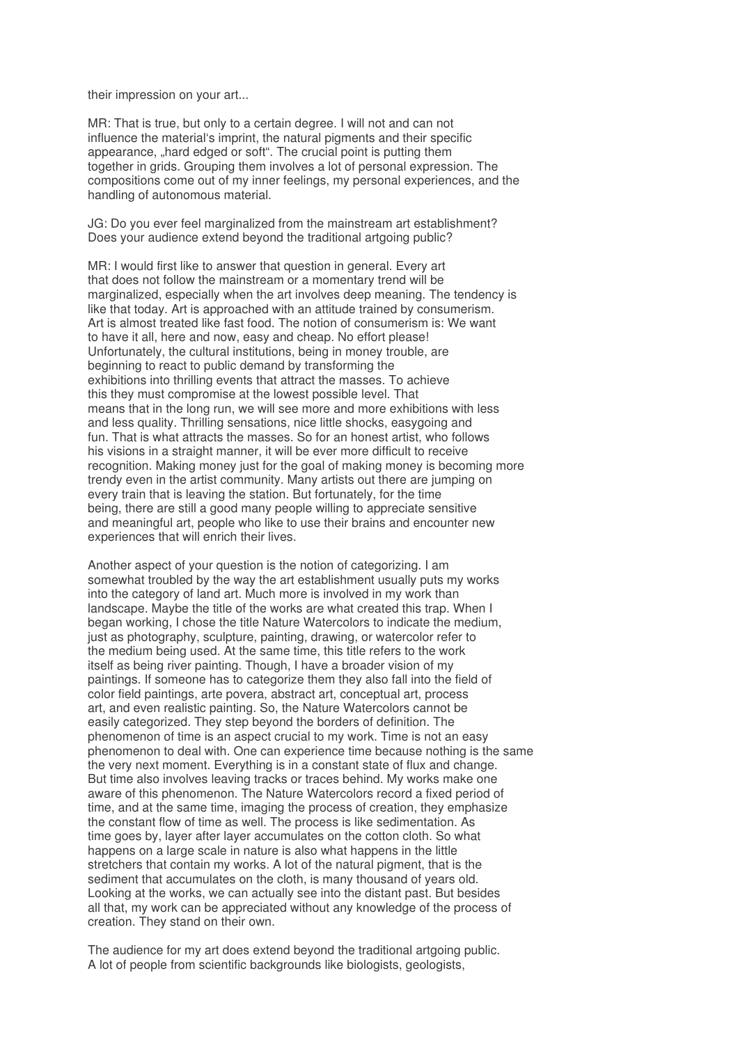their impression on your art...

MR: That is true, but only to a certain degree. I will not and can not influence the material's imprint, the natural pigments and their specific appearance, "hard edged or soft". The crucial point is putting them together in grids. Grouping them involves a lot of personal expression. The compositions come out of my inner feelings, my personal experiences, and the handling of autonomous material.

JG: Do you ever feel marginalized from the mainstream art establishment? Does your audience extend beyond the traditional artgoing public?

MR: I would first like to answer that question in general. Every art that does not follow the mainstream or a momentary trend will be marginalized, especially when the art involves deep meaning. The tendency is like that today. Art is approached with an attitude trained by consumerism. Art is almost treated like fast food. The notion of consumerism is: We want to have it all, here and now, easy and cheap. No effort please! Unfortunately, the cultural institutions, being in money trouble, are beginning to react to public demand by transforming the exhibitions into thrilling events that attract the masses. To achieve this they must compromise at the lowest possible level. That means that in the long run, we will see more and more exhibitions with less and less quality. Thrilling sensations, nice little shocks, easygoing and fun. That is what attracts the masses. So for an honest artist, who follows his visions in a straight manner, it will be ever more difficult to receive recognition. Making money just for the goal of making money is becoming more trendy even in the artist community. Many artists out there are jumping on every train that is leaving the station. But fortunately, for the time being, there are still a good many people willing to appreciate sensitive and meaningful art, people who like to use their brains and encounter new experiences that will enrich their lives.

Another aspect of your question is the notion of categorizing. I am somewhat troubled by the way the art establishment usually puts my works into the category of land art. Much more is involved in my work than landscape. Maybe the title of the works are what created this trap. When I began working, I chose the title Nature Watercolors to indicate the medium, just as photography, sculpture, painting, drawing, or watercolor refer to the medium being used. At the same time, this title refers to the work itself as being river painting. Though, I have a broader vision of my paintings. If someone has to categorize them they also fall into the field of color field paintings, arte povera, abstract art, conceptual art, process art, and even realistic painting. So, the Nature Watercolors cannot be easily categorized. They step beyond the borders of definition. The phenomenon of time is an aspect crucial to my work. Time is not an easy phenomenon to deal with. One can experience time because nothing is the same the very next moment. Everything is in a constant state of flux and change. But time also involves leaving tracks or traces behind. My works make one aware of this phenomenon. The Nature Watercolors record a fixed period of time, and at the same time, imaging the process of creation, they emphasize the constant flow of time as well. The process is like sedimentation. As time goes by, layer after layer accumulates on the cotton cloth. So what happens on a large scale in nature is also what happens in the little stretchers that contain my works. A lot of the natural pigment, that is the sediment that accumulates on the cloth, is many thousand of years old. Looking at the works, we can actually see into the distant past. But besides all that, my work can be appreciated without any knowledge of the process of creation. They stand on their own.

The audience for my art does extend beyond the traditional artgoing public. A lot of people from scientific backgrounds like biologists, geologists,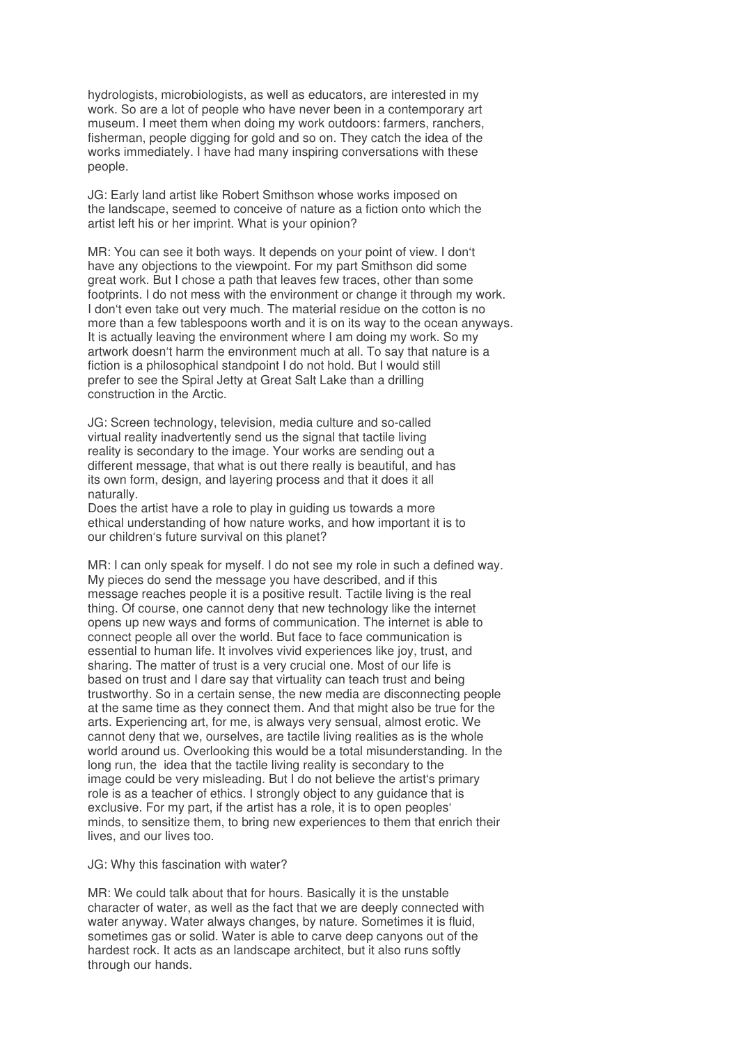hydrologists, microbiologists, as well as educators, are interested in my work. So are a lot of people who have never been in a contemporary art museum. I meet them when doing my work outdoors: farmers, ranchers, fisherman, people digging for gold and so on. They catch the idea of the works immediately. I have had many inspiring conversations with these people.

JG: Early land artist like Robert Smithson whose works imposed on the landscape, seemed to conceive of nature as a fiction onto which the artist left his or her imprint. What is your opinion?

MR: You can see it both ways. It depends on your point of view. I don't have any objections to the viewpoint. For my part Smithson did some great work. But I chose a path that leaves few traces, other than some footprints. I do not mess with the environment or change it through my work. I don't even take out very much. The material residue on the cotton is no more than a few tablespoons worth and it is on its way to the ocean anyways. It is actually leaving the environment where I am doing my work. So my artwork doesn't harm the environment much at all. To say that nature is a fiction is a philosophical standpoint I do not hold. But I would still prefer to see the Spiral Jetty at Great Salt Lake than a drilling construction in the Arctic.

JG: Screen technology, television, media culture and so-called virtual reality inadvertently send us the signal that tactile living reality is secondary to the image. Your works are sending out a different message, that what is out there really is beautiful, and has its own form, design, and layering process and that it does it all naturally.

Does the artist have a role to play in guiding us towards a more ethical understanding of how nature works, and how important it is to our children's future survival on this planet?

MR: I can only speak for myself. I do not see my role in such a defined way. My pieces do send the message you have described, and if this message reaches people it is a positive result. Tactile living is the real thing. Of course, one cannot deny that new technology like the internet opens up new ways and forms of communication. The internet is able to connect people all over the world. But face to face communication is essential to human life. It involves vivid experiences like joy, trust, and sharing. The matter of trust is a very crucial one. Most of our life is based on trust and I dare say that virtuality can teach trust and being trustworthy. So in a certain sense, the new media are disconnecting people at the same time as they connect them. And that might also be true for the arts. Experiencing art, for me, is always very sensual, almost erotic. We cannot deny that we, ourselves, are tactile living realities as is the whole world around us. Overlooking this would be a total misunderstanding. In the long run, the idea that the tactile living reality is secondary to the image could be very misleading. But I do not believe the artist's primary role is as a teacher of ethics. I strongly object to any guidance that is exclusive. For my part, if the artist has a role, it is to open peoples' minds, to sensitize them, to bring new experiences to them that enrich their lives, and our lives too.

JG: Why this fascination with water?

MR: We could talk about that for hours. Basically it is the unstable character of water, as well as the fact that we are deeply connected with water anyway. Water always changes, by nature. Sometimes it is fluid, sometimes gas or solid. Water is able to carve deep canyons out of the hardest rock. It acts as an landscape architect, but it also runs softly through our hands.